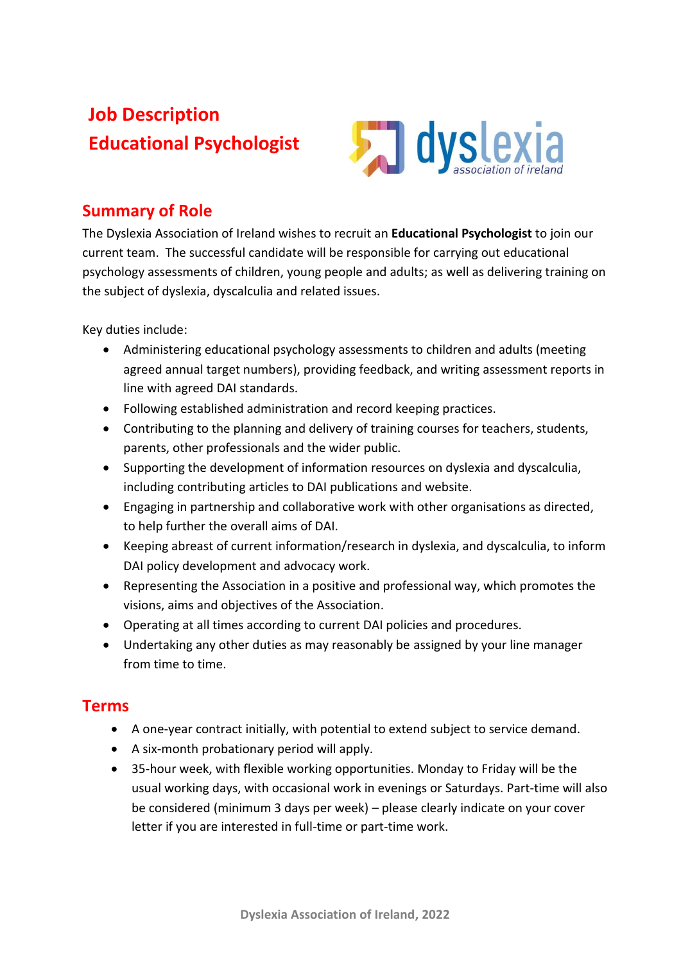# **Job Description Educational Psychologist**



### **Summary of Role**

The Dyslexia Association of Ireland wishes to recruit an **Educational Psychologist** to join our current team. The successful candidate will be responsible for carrying out educational psychology assessments of children, young people and adults; as well as delivering training on the subject of dyslexia, dyscalculia and related issues.

Key duties include:

- Administering educational psychology assessments to children and adults (meeting agreed annual target numbers), providing feedback, and writing assessment reports in line with agreed DAI standards.
- Following established administration and record keeping practices.
- Contributing to the planning and delivery of training courses for teachers, students, parents, other professionals and the wider public.
- Supporting the development of information resources on dyslexia and dyscalculia, including contributing articles to DAI publications and website.
- Engaging in partnership and collaborative work with other organisations as directed, to help further the overall aims of DAI.
- Keeping abreast of current information/research in dyslexia, and dyscalculia, to inform DAI policy development and advocacy work.
- Representing the Association in a positive and professional way, which promotes the visions, aims and objectives of the Association.
- Operating at all times according to current DAI policies and procedures.
- Undertaking any other duties as may reasonably be assigned by your line manager from time to time.

#### **Terms**

- A one-year contract initially, with potential to extend subject to service demand.
- A six-month probationary period will apply.
- 35-hour week, with flexible working opportunities. Monday to Friday will be the usual working days, with occasional work in evenings or Saturdays. Part-time will also be considered (minimum 3 days per week) – please clearly indicate on your cover letter if you are interested in full-time or part-time work.